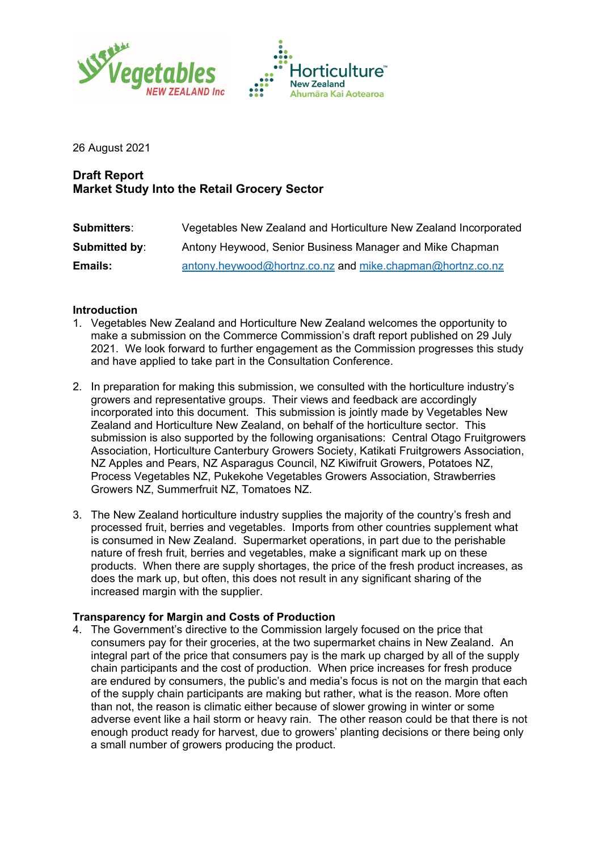



26 August 2021

# **Draft Report Market Study Into the Retail Grocery Sector**

| <b>Submitters:</b> | Vegetables New Zealand and Horticulture New Zealand Incorporated |
|--------------------|------------------------------------------------------------------|
| Submitted by:      | Antony Heywood, Senior Business Manager and Mike Chapman         |
| <b>Emails:</b>     | antony.heywood@hortnz.co.nz and mike.chapman@hortnz.co.nz        |

### **Introduction**

- 1. Vegetables New Zealand and Horticulture New Zealand welcomes the opportunity to make a submission on the Commerce Commission's draft report published on 29 July 2021. We look forward to further engagement as the Commission progresses this study and have applied to take part in the Consultation Conference.
- 2. In preparation for making this submission, we consulted with the horticulture industry's growers and representative groups. Their views and feedback are accordingly incorporated into this document. This submission is jointly made by Vegetables New Zealand and Horticulture New Zealand, on behalf of the horticulture sector. This submission is also supported by the following organisations: Central Otago Fruitgrowers Association, Horticulture Canterbury Growers Society, Katikati Fruitgrowers Association, NZ Apples and Pears, NZ Asparagus Council, NZ Kiwifruit Growers, Potatoes NZ, Process Vegetables NZ, Pukekohe Vegetables Growers Association, Strawberries Growers NZ, Summerfruit NZ, Tomatoes NZ.
- 3. The New Zealand horticulture industry supplies the majority of the country's fresh and processed fruit, berries and vegetables. Imports from other countries supplement what is consumed in New Zealand. Supermarket operations, in part due to the perishable nature of fresh fruit, berries and vegetables, make a significant mark up on these products. When there are supply shortages, the price of the fresh product increases, as does the mark up, but often, this does not result in any significant sharing of the increased margin with the supplier.

## **Transparency for Margin and Costs of Production**

4. The Government's directive to the Commission largely focused on the price that consumers pay for their groceries, at the two supermarket chains in New Zealand. An integral part of the price that consumers pay is the mark up charged by all of the supply chain participants and the cost of production. When price increases for fresh produce are endured by consumers, the public's and media's focus is not on the margin that each of the supply chain participants are making but rather, what is the reason. More often than not, the reason is climatic either because of slower growing in winter or some adverse event like a hail storm or heavy rain. The other reason could be that there is not enough product ready for harvest, due to growers' planting decisions or there being only a small number of growers producing the product.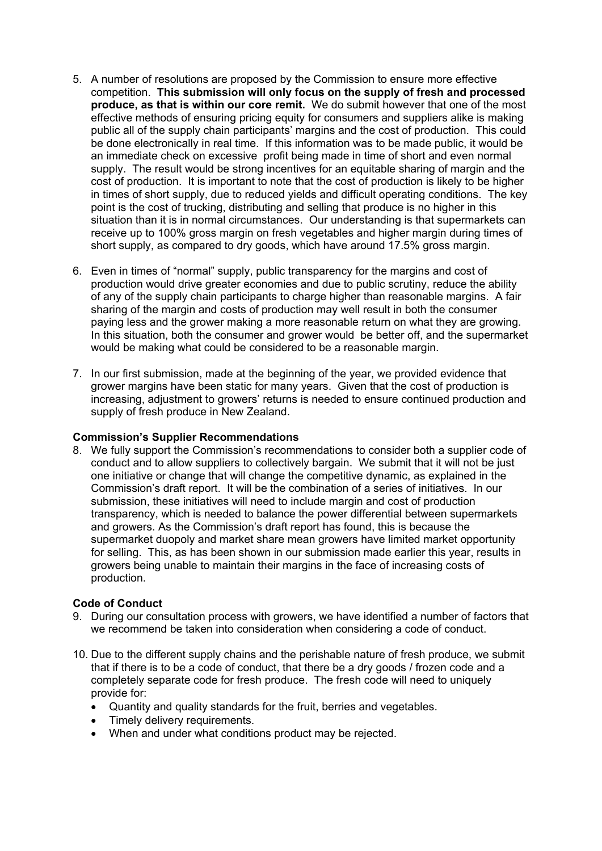- 5. A number of resolutions are proposed by the Commission to ensure more effective competition. **This submission will only focus on the supply of fresh and processed produce, as that is within our core remit.** We do submit however that one of the most effective methods of ensuring pricing equity for consumers and suppliers alike is making public all of the supply chain participants' margins and the cost of production. This could be done electronically in real time. If this information was to be made public, it would be an immediate check on excessive profit being made in time of short and even normal supply. The result would be strong incentives for an equitable sharing of margin and the cost of production. It is important to note that the cost of production is likely to be higher in times of short supply, due to reduced yields and difficult operating conditions. The key point is the cost of trucking, distributing and selling that produce is no higher in this situation than it is in normal circumstances. Our understanding is that supermarkets can receive up to 100% gross margin on fresh vegetables and higher margin during times of short supply, as compared to dry goods, which have around 17.5% gross margin.
- 6. Even in times of "normal" supply, public transparency for the margins and cost of production would drive greater economies and due to public scrutiny, reduce the ability of any of the supply chain participants to charge higher than reasonable margins. A fair sharing of the margin and costs of production may well result in both the consumer paying less and the grower making a more reasonable return on what they are growing. In this situation, both the consumer and grower would be better off, and the supermarket would be making what could be considered to be a reasonable margin.
- 7. In our first submission, made at the beginning of the year, we provided evidence that grower margins have been static for many years. Given that the cost of production is increasing, adjustment to growers' returns is needed to ensure continued production and supply of fresh produce in New Zealand.

#### **Commission's Supplier Recommendations**

8. We fully support the Commission's recommendations to consider both a supplier code of conduct and to allow suppliers to collectively bargain. We submit that it will not be just one initiative or change that will change the competitive dynamic, as explained in the Commission's draft report. It will be the combination of a series of initiatives. In our submission, these initiatives will need to include margin and cost of production transparency, which is needed to balance the power differential between supermarkets and growers. As the Commission's draft report has found, this is because the supermarket duopoly and market share mean growers have limited market opportunity for selling. This, as has been shown in our submission made earlier this year, results in growers being unable to maintain their margins in the face of increasing costs of production.

#### **Code of Conduct**

- 9. During our consultation process with growers, we have identified a number of factors that we recommend be taken into consideration when considering a code of conduct.
- 10. Due to the different supply chains and the perishable nature of fresh produce, we submit that if there is to be a code of conduct, that there be a dry goods / frozen code and a completely separate code for fresh produce. The fresh code will need to uniquely provide for:
	- Quantity and quality standards for the fruit, berries and vegetables.
	- Timely delivery requirements.
	- When and under what conditions product may be rejected.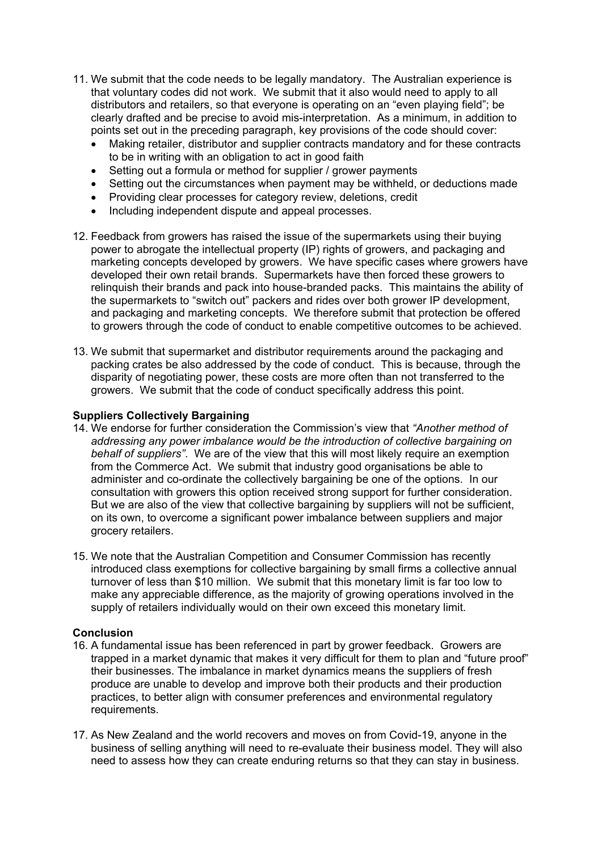- 11. We submit that the code needs to be legally mandatory. The Australian experience is that voluntary codes did not work. We submit that it also would need to apply to all distributors and retailers, so that everyone is operating on an "even playing field"; be clearly drafted and be precise to avoid mis-interpretation. As a minimum, in addition to points set out in the preceding paragraph, key provisions of the code should cover:
	- Making retailer, distributor and supplier contracts mandatory and for these contracts to be in writing with an obligation to act in good faith
	- Setting out a formula or method for supplier / grower payments
	- Setting out the circumstances when payment may be withheld, or deductions made
	- Providing clear processes for category review, deletions, credit
	- Including independent dispute and appeal processes.
- 12. Feedback from growers has raised the issue of the supermarkets using their buying power to abrogate the intellectual property (IP) rights of growers, and packaging and marketing concepts developed by growers. We have specific cases where growers have developed their own retail brands. Supermarkets have then forced these growers to relinquish their brands and pack into house-branded packs. This maintains the ability of the supermarkets to "switch out" packers and rides over both grower IP development, and packaging and marketing concepts. We therefore submit that protection be offered to growers through the code of conduct to enable competitive outcomes to be achieved.
- 13. We submit that supermarket and distributor requirements around the packaging and packing crates be also addressed by the code of conduct. This is because, through the disparity of negotiating power, these costs are more often than not transferred to the growers. We submit that the code of conduct specifically address this point.

#### **Suppliers Collectively Bargaining**

- 14. We endorse for further consideration the Commission's view that *"Another method of addressing any power imbalance would be the introduction of collective bargaining on behalf of suppliers"*. We are of the view that this will most likely require an exemption from the Commerce Act. We submit that industry good organisations be able to administer and co-ordinate the collectively bargaining be one of the options. In our consultation with growers this option received strong support for further consideration. But we are also of the view that collective bargaining by suppliers will not be sufficient, on its own, to overcome a significant power imbalance between suppliers and major grocery retailers.
- 15. We note that the Australian Competition and Consumer Commission has recently introduced class exemptions for collective bargaining by small firms a collective annual turnover of less than \$10 million. We submit that this monetary limit is far too low to make any appreciable difference, as the majority of growing operations involved in the supply of retailers individually would on their own exceed this monetary limit.

#### **Conclusion**

- 16. A fundamental issue has been referenced in part by grower feedback. Growers are trapped in a market dynamic that makes it very difficult for them to plan and "future proof" their businesses. The imbalance in market dynamics means the suppliers of fresh produce are unable to develop and improve both their products and their production practices, to better align with consumer preferences and environmental regulatory requirements.
- 17. As New Zealand and the world recovers and moves on from Covid-19, anyone in the business of selling anything will need to re-evaluate their business model. They will also need to assess how they can create enduring returns so that they can stay in business.